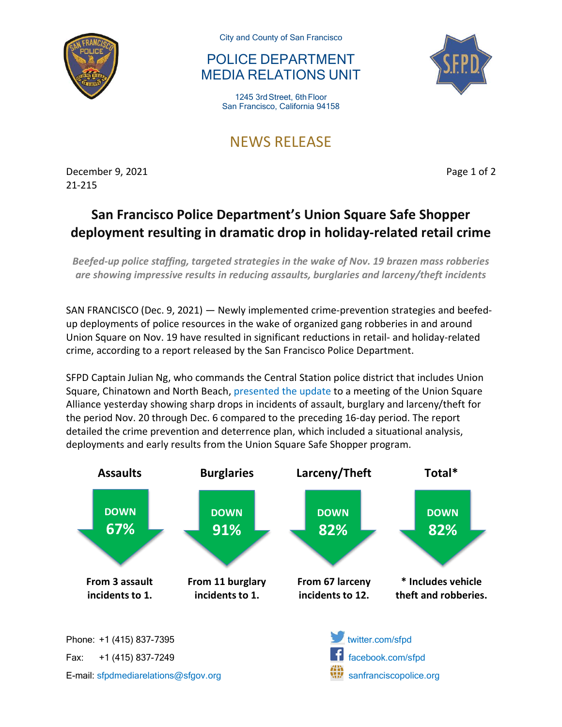

City and County of San Francisco

## POLICE DEPARTMENT MEDIA RELATIONS UNIT

1245 3rd Street, 6th Floor San Francisco, California 94158

## NEWS RELEASE

December 9, 2021 **Page 1 of 2** 21-215

## **San Francisco Police Department's Union Square Safe Shopper deployment resulting in dramatic drop in holiday-related retail crime**

*Beefed-up police staffing, targeted strategies in the wake of Nov. 19 brazen mass robberies are showing impressive results in reducing assaults, burglaries and larceny/theft incidents*

SAN FRANCISCO (Dec. 9, 2021) — Newly implemented crime-prevention strategies and beefedup deployments of police resources in the wake of organized gang robberies in and around Union Square on Nov. 19 have resulted in significant reductions in retail- and holiday-related crime, according to a report released by the San Francisco Police Department.

SFPD Captain Julian Ng, who commands the Central Station police district that includes Union Square, Chinatown and North Beach, [presented the update](https://documentcloud.adobe.com/link/track?uri=urn:aaid:scds:US:f8ac5a14-7a28-4417-8ce8-d79066ed4e83) to a meeting of the Union Square Alliance yesterday showing sharp drops in incidents of assault, burglary and larceny/theft for the period Nov. 20 through Dec. 6 compared to the preceding 16-day period. The report detailed the crime prevention and deterrence plan, which included a situational analysis, deployments and early results from the Union Square Safe Shopper program.